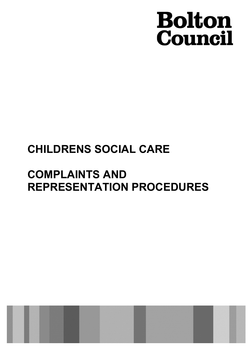# **Bolton**<br>Council

## CHILDRENS SOCIAL CARE

## COMPLAINTS AND REPRESENTATION PROCEDURES

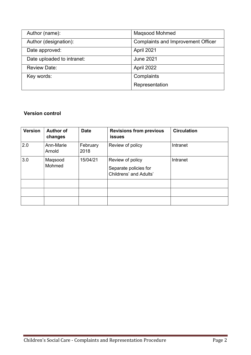| Author (name):             | Maqsood Mohmed                            |
|----------------------------|-------------------------------------------|
| Author (designation):      | <b>Complaints and Improvement Officer</b> |
| Date approved:             | April 2021                                |
| Date uploaded to intranet: | <b>June 2021</b>                          |
| <b>Review Date:</b>        | April 2022                                |
| Key words:                 | Complaints                                |
|                            | Representation                            |

#### Version control

| <b>Version</b> | <b>Author of</b><br>changes | <b>Date</b>      | <b>Revisions from previous</b><br><b>issues</b>                     | <b>Circulation</b> |
|----------------|-----------------------------|------------------|---------------------------------------------------------------------|--------------------|
| 2.0            | Ann-Marie<br>Arnold         | February<br>2018 | Review of policy                                                    | Intranet           |
| 3.0            | Maqsood<br>Mohmed           | 15/04/21         | Review of policy<br>Separate policies for<br>Childrens' and Adults' | Intranet           |
|                |                             |                  |                                                                     |                    |
|                |                             |                  |                                                                     |                    |
|                |                             |                  |                                                                     |                    |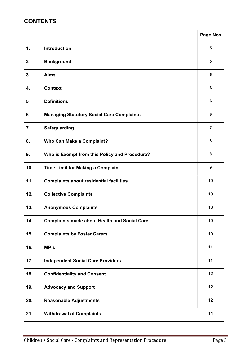### **CONTENTS**

|                  |                                                     | <b>Page Nos</b> |
|------------------|-----------------------------------------------------|-----------------|
| $\mathbf{1}$ .   | Introduction                                        | 5               |
| $\boldsymbol{2}$ | <b>Background</b>                                   | 5               |
| 3.               | <b>Aims</b>                                         | 5               |
| 4.               | <b>Context</b>                                      | 6               |
| $5\phantom{1}$   | <b>Definitions</b>                                  | $6\phantom{a}$  |
| 6                | <b>Managing Statutory Social Care Complaints</b>    | 6               |
| 7.               | <b>Safeguarding</b>                                 | $\overline{7}$  |
| 8.               | <b>Who Can Make a Complaint?</b>                    | 8               |
| 9.               | Who is Exempt from this Policy and Procedure?       | 8               |
| 10.              | <b>Time Limit for Making a Complaint</b>            | 9               |
| 11.              | <b>Complaints about residential facilities</b>      | 10              |
| 12.              | <b>Collective Complaints</b>                        | 10              |
| 13.              | <b>Anonymous Complaints</b>                         | 10              |
| 14.              | <b>Complaints made about Health and Social Care</b> | 10              |
| 15.              | <b>Complaints by Foster Carers</b>                  | 10              |
| 16.              | MP's                                                | 11              |
| 17.              | <b>Independent Social Care Providers</b>            | 11              |
| 18.              | <b>Confidentiality and Consent</b>                  | 12              |
| 19.              | <b>Advocacy and Support</b>                         | 12              |
| 20.              | <b>Reasonable Adjustments</b>                       | 12              |
| 21.              | <b>Withdrawal of Complaints</b>                     | 14              |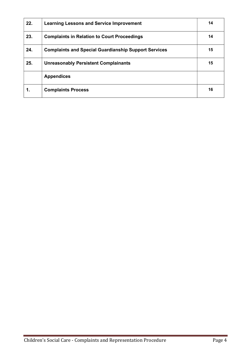| 22. | <b>Learning Lessons and Service Improvement</b>             | 14 |
|-----|-------------------------------------------------------------|----|
| 23. | <b>Complaints in Relation to Court Proceedings</b>          | 14 |
| 24. | <b>Complaints and Special Guardianship Support Services</b> | 15 |
| 25. | <b>Unreasonably Persistent Complainants</b>                 | 15 |
|     | <b>Appendices</b>                                           |    |
| 1.  | <b>Complaints Process</b>                                   | 16 |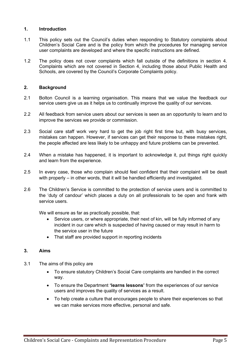#### 1. Introduction

- 1.1 This policy sets out the Council's duties when responding to Statutory complaints about Children's Social Care and is the policy from which the procedures for managing service user complaints are developed and where the specific instructions are defined.
- 1.2 The policy does not cover complaints which fall outside of the definitions in section 4. Complaints which are not covered in Section 4, including those about Public Health and Schools, are covered by the Council's Corporate Complaints policy.

#### 2. Background

- 2.1 Bolton Council is a learning organisation. This means that we value the feedback our service users give us as it helps us to continually improve the quality of our services.
- 2.2 All feedback from service users about our services is seen as an opportunity to learn and to improve the services we provide or commission.
- 2.3 Social care staff work very hard to get the job right first time but, with busy services, mistakes can happen. However, if services can get their response to these mistakes right, the people affected are less likely to be unhappy and future problems can be prevented.
- 2.4 When a mistake has happened, it is important to acknowledge it, put things right quickly and learn from the experience.
- 2.5 In every case, those who complain should feel confident that their complaint will be dealt with properly – in other words, that it will be handled efficiently and investigated.
- 2.6 The Children's Service is committed to the protection of service users and is committed to the 'duty of candour' which places a duty on all professionals to be open and frank with service users.

We will ensure as far as practically possible, that:

- Service users, or where appropriate, their next of kin, will be fully informed of any incident in our care which is suspected of having caused or may result in harm to the service user in the future
- That staff are provided support in reporting incidents

#### 3. Aims

- 3.1 The aims of this policy are
	- To ensure statutory Children's Social Care complaints are handled in the correct way.
	- To ensure the Department 'learns lessons' from the experiences of our service users and improves the quality of services as a result.
	- To help create a culture that encourages people to share their experiences so that we can make services more effective, personal and safe.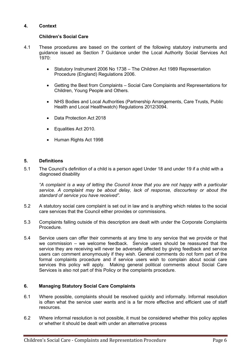#### 4. Context

#### Children's Social Care

- 4.1 These procedures are based on the content of the following statutory instruments and guidance issued as Section 7 Guidance under the Local Authority Social Services Act 1970:
	- Statutory Instrument 2006 No 1738 The Children Act 1989 Representation Procedure (England) Regulations 2006.
	- Getting the Best from Complaints Social Care Complaints and Representations for Children, Young People and Others.
	- NHS Bodies and Local Authorities (Partnership Arrangements, Care Trusts, Public Health and Local Healthwatch) Regulations 2012/3094.
	- Data Protection Act 2018
	- Equalities Act 2010.
	- Human Rights Act 1998

#### 5. Definitions

5.1 The Council's definition of a child is a person aged Under 18 and under 19 if a child with a diagnosed disability

"A complaint is a way of letting the Council know that you are not happy with a particular service. A complaint may be about delay, lack of response, discourtesy or about the standard of service you have received".

- 5.2 A statutory social care complaint is set out in law and is anything which relates to the social care services that the Council either provides or commissions.
- 5.3 Complaints falling outside of this description are dealt with under the Corporate Complaints Procedure.
- 5.4 Service users can offer their comments at any time to any service that we provide or that we commission – we welcome feedback. Service users should be reassured that the service they are receiving will never be adversely affected by giving feedback and service users can comment anonymously if they wish. General comments do not form part of the formal complaints procedure and if service users wish to complain about social care services this policy will apply. Making general political comments about Social Care Services is also not part of this Policy or the complaints procedure.

#### 6. Managing Statutory Social Care Complaints

- 6.1 Where possible, complaints should be resolved quickly and informally. Informal resolution is often what the service user wants and is a far more effective and efficient use of staff resources.
- 6.2 Where informal resolution is not possible, it must be considered whether this policy applies or whether it should be dealt with under an alternative process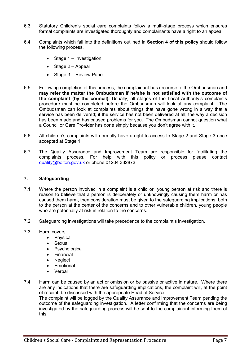- 6.3 Statutory Children's social care complaints follow a multi-stage process which ensures formal complaints are investigated thoroughly and complainants have a right to an appeal.
- 6.4 Complaints which fall into the definitions outlined in Section 4 of this policy should follow the following process.
	- $\bullet$  Stage 1 Investigation
	- $\bullet$  Stage 2 Appeal
	- $\bullet$  Stage  $3$  Review Panel
- 6.5 Following completion of this process, the complainant has recourse to the Ombudsman and may refer the matter the Ombudsman if he/she is not satisfied with the outcome of the complaint (by the council). Usually, all stages of the Local Authority's complaints procedure must be completed before the Ombudsman will look at any complaint. The Ombudsman can look at complaints about things that have gone wrong in a way that a service has been delivered; if the service has not been delivered at all; the way a decision has been made and has caused problems for you. The Ombudsman cannot question what a Council or Care Provider has done simply because you don't agree with it.
- 6.6 All children's complaints will normally have a right to access to Stage 2 and Stage 3 once accepted at Stage 1.
- 6.7 The Quality Assurance and Improvement Team are responsible for facilitating the complaints process. For help with this policy or process please contact quality@bolton.gov.uk or phone 01204 332873.

#### 7. Safeguarding

- 7.1 Where the person involved in a complaint is a child or young person at risk and there is reason to believe that a person is deliberately or unknowingly causing them harm or has caused them harm, then consideration must be given to the safeguarding implications, both to the person at the center of the concerns and to other vulnerable children, young people who are potentially at risk in relation to the concerns.
- 7.2 Safeguarding investigations will take precedence to the complaint's investigation.
- 7.3 Harm covers:
	- Physical
	- Sexual
	- Psychological
	- Financial
	- **Neglect**
	- Emotional
	- Verbal
- 7.4 Harm can be caused by an act or omission or be passive or active in nature. Where there are any indications that there are safeguarding implications, the complaint will, at the point of receipt, be discussed with the appropriate Head of Service.

The complaint will be logged by the Quality Assurance and Improvement Team pending the outcome of the safeguarding investigation. A letter confirming that the concerns are being investigated by the safeguarding process will be sent to the complainant informing them of this.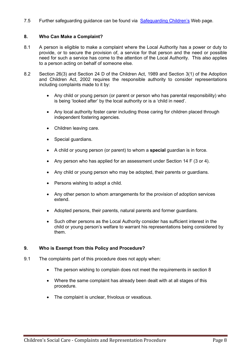7.5 Further safeguarding guidance can be found via Safeguarding Children's Web page.

#### 8. Who Can Make a Complaint?

- 8.1 A person is eligible to make a complaint where the Local Authority has a power or duty to provide, or to secure the provision of, a service for that person and the need or possible need for such a service has come to the attention of the Local Authority. This also applies to a person acting on behalf of someone else.
- 8.2 Section 26(3) and Section 24 D of the Children Act, 1989 and Section 3(1) of the Adoption and Children Act, 2002 requires the responsible authority to consider representations including complaints made to it by:
	- Any child or young person (or parent or person who has parental responsibility) who is being 'looked after' by the local authority or is a 'child in need'.
	- Any local authority foster carer including those caring for children placed through independent fostering agencies.
	- Children leaving care.
	- Special guardians.
	- A child or young person (or parent) to whom a special guardian is in force.
	- Any person who has applied for an assessment under Section 14  $F$  (3 or 4).
	- Any child or young person who may be adopted, their parents or guardians.
	- Persons wishing to adopt a child.
	- Any other person to whom arrangements for the provision of adoption services extend.
	- Adopted persons, their parents, natural parents and former guardians.
	- Such other persons as the Local Authority consider has sufficient interest in the child or young person's welfare to warrant his representations being considered by them.

#### 9. Who is Exempt from this Policy and Procedure?

- 9.1 The complaints part of this procedure does not apply when:
	- The person wishing to complain does not meet the requirements in section 8
	- Where the same complaint has already been dealt with at all stages of this procedure.
	- The complaint is unclear, frivolous or vexatious.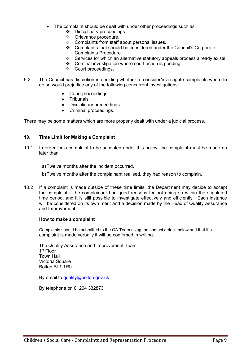- The complaint should be dealt with under other proceedings such as:
	- Disciplinary proceedings.
	- Grievance procedure.
	- Complaints from staff about personal issues.
	- Complaints that should be considered under the Council's Corporate Complaints Procedure.
	- Services for which an alternative statutory appeals process already exists.
	- Criminal investigation where court action is pending
	- Court proceedings.
- 9.2 The Council has discretion in deciding whether to consider/investigate complaints where to do so would prejudice any of the following concurrent investigations:
	- Court proceedings.
	- Tribunals.
	- Disciplinary proceedings.
	- Criminal proceedings.

There may be some matters which are more properly dealt with under a judicial process.

#### 10. Time Limit for Making a Complaint

- 10.1 In order for a complaint to be accepted under this policy, the complaint must be made no later than:
	- a) Twelve months after the incident occurred.
	- b) Twelve months after the complainant realised, they had reason to complain.
- 10.2 If a complaint is made outside of these time limits, the Department may decide to accept the complaint if the complainant had good reasons for not doing so within the stipulated time period, and it is still possible to investigate effectively and efficiently. Each instance will be considered on its own merit and a decision made by the Head of Quality Assurance and Improvement.

#### How to make a complaint

 Complaints should be submitted to the QA Team using the contact details below and that if a complaint is made verbally it will be confirmed in writing.

The Quality Assurance and Improvement Team 1 st Floor Town Hall Victoria Square Bolton BL1 1RU

By email to quality@bolton.gov.uk

By telephone on 01204 332873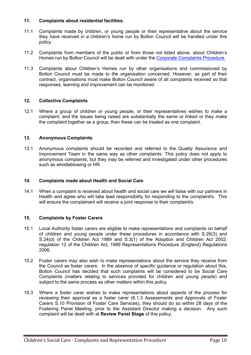#### 11. Complaints about residential facilities.

- 11.1 Complaints made by children, or young people or their representative about the service they have received in a children's home run by Bolton Council will be handled under this policy.
- 11.2 Complaints from members of the public or from those not listed above, about Children's Homes run by Bolton Council will be dealt with under the Corporate Complaints Procedure.
- 11.3 Complaints about Children's Homes run by other organisations and commissioned by Bolton Council must be made to the organisation concerned. However, as part of their contract, organisations must make Bolton Council aware of all complaints received so that responses, learning and improvement can be monitored.

#### 12. Collective Complaints

12.1 Where a group of children or young people, or their representatives wishes to make a complaint, and the issues being raised are substantially the same or linked or they make the complaint together as a group, then these can be treated as one complaint.

#### 13. Anonymous Complaints

13.1 Anonymous complaints should be recorded and referred to the Quality Assurance and Improvement Team in the same way as other complaints. This policy does not apply to anonymous complaints, but they may be referred and investigated under other procedures such as whistleblowing or HR.

#### 14. Complaints made about Health and Social Care

14.1 When a complaint is received about health and social care we will liaise with our partners in Health and agree who will take lead responsibility for responding to the complaint/s. This will ensure the complainant will receive a joint response to their complaint/s.

#### 15. Complaints by Foster Carers

- 15.1 Local Authority foster carers are eligible to make representations and complaints on behalf of children and young people under these procedures in accordance with S.26(3) and S.24(d) of the Children Act 1989 and S.3(1) of the Adoption and Children Act 2002, regulation 12 of the Children Act, 1989 Representations Procedure (England) Regulations 2006.
- 15.2 Foster carers may also wish to make representations about the service they receive from the Council as foster carers. In the absence of specific guidance or regulation about this, Bolton Council has decided that such complaints will be considered to be Social Care Complaints (matters relating to services provided for children and young people) and subject to the same process as other matters within this policy.
- 15.3 Where a foster carer wishes to make representations about aspects of the process for reviewing their approval as a foster carer (6.1.3 Assessments and Approvals of Foster Carers S.10 Provision of Foster Care Services), they should do so within 28 days of the Fostering Panel Meeting, prior to the Assistant Director making a decision. Any such complaint will be dealt with at Review Panel Stage of this policy.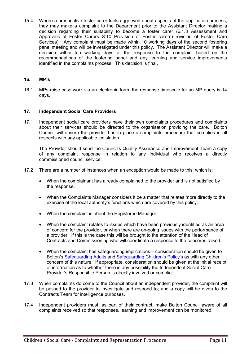15.4 Where a prospective foster carer feels aggrieved about aspects of the application process, they may make a complaint to the Department prior to the Assistant Director making a decision regarding their suitability to become a foster carer (6.1.3 Assessment and Approvals of Foster Carers S.10 Provision of Foster carers) revision of Foster Care Services). Any complaint must be made within 10 working days of the second fostering panel meeting and will be investigated under this policy. The Assistant Director will make a decision within ten working days of the response to the complaint based on the recommendations of the fostering panel and any learning and service improvements identified in the complaints process. This decision is final.

#### 16. MP's

16.1 MPs raise case work via an electronic form, the response timescale for an MP query is 14 days.

#### 17. Independent Social Care Providers

17.1 Independent social care providers have their own complaints procedures and complaints about their services should be directed to the organisation providing the care. Bolton Council will ensure the provider has in place a complaints procedure that complies in all respects with any applicable legislation.

 The Provider should send the Council's Quality Assurance and Improvement Team a copy of any complaint response in relation to any individual who receives a directly commissioned council service.

- 17.2 There are a number of instances when an exception would be made to this, which is:
	- When the complainant has already complained to the provider and is not satisfied by the response.
	- When the Complaints Manager considers it be a matter that relates more directly to the exercise of the local authority's functions which are covered by this policy.
	- When the complaint is about the Registered Manager.
	- When the complaint relates to issues which have been previously identified as an area of concern for the provider, or when there are on-going issues with the performance of a provider. If this is the case this will be brought to the attention of the Head of Contracts and Commissioning who will coordinate a response to the concerns raised.
	- When the complaint has safeguarding implications consideration should be given to Bolton's Safeguarding Adults and Safeguarding Children's Policy's as with any other concern of this nature. If appropriate, consideration should be given at the initial receipt of information as to whether there is any possibility the Independent Social Care Provider's Responsible Person is directly involved or complicit.
- 17.3 When complaints do come to the Council about an independent provider, the complaint will be passed to the provider to investigate and respond to; and a copy will be given to the Contracts Team for intelligence purposes.
- 17.4 Independent providers must, as part of their contract, make Bolton Council aware of all complaints received so that responses, learning and improvement can be monitored.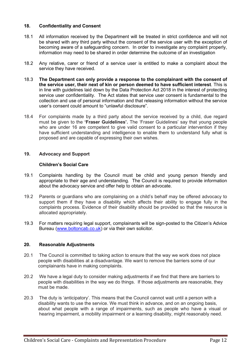#### 18. Confidentiality and Consent

- 18.1 All information received by the Department will be treated in strict confidence and will not be shared with any third party without the consent of the service user with the exception of becoming aware of a safeguarding concern. In order to investigate any complaint properly, information may need to be shared in order determine the outcome of an investigation
- 18.2 Any relative, carer or friend of a service user is entitled to make a complaint about the service they have received.
- 18.3 The Department can only provide a response to the complainant with the consent of the service user, their next of kin or person deemed to have sufficient interest. This is in line with guidelines laid down by the Data Protection Act 2018 in the interest of protecting service user confidentiality. The Act states that service user consent is fundamental to the collection and use of personal information and that releasing information without the service user's consent could amount to "unlawful disclosure".
- 18.4 For complaints made by a third party about the service received by a child, due regard must be given to the 'Fraser Guidelines'. The 'Fraser Guidelines' say that young people who are under 16 are competent to give valid consent to a particular intervention if they have sufficient understanding and intelligence to enable them to understand fully what is proposed and are capable of expressing their own wishes.

#### 19. Advocacy and Support

#### Children's Social Care

- 19.1 Complaints handling by the Council must be child and young person friendly and appropriate to their age and understanding. The Council is required to provide information about the advocacy service and offer help to obtain an advocate.
- 19.2 Parents or guardians who are complaining on a child's behalf may be offered advocacy to support them if they have a disability which affects their ability to engage fully in the complaints process. Evidence of their disability should be provided so that the resource is allocated appropriately.
- 19.3 For matters requiring legal support, complainants will be sign-posted to the Citizen's Advice Bureau (www.boltoncab.co.uk) or via their own solicitor.

#### 20. Reasonable Adjustments

- 20.1 The Council is committed to taking action to ensure that the way we work does not place people with disabilities at a disadvantage. We want to remove the barriers some of our complainants have in making complaints.
- 20.2 We have a legal duty to consider making adjustments if we find that there are barriers to people with disabilities in the way we do things. If those adjustments are reasonable, they must be made.
- 20.3 The duty is 'anticipatory'. This means that the Council cannot wait until a person with a disability wants to use the service. We must think in advance, and on an ongoing basis, about what people with a range of impairments, such as people who have a visual or hearing impairment, a mobility impairment or a learning disability, might reasonably need.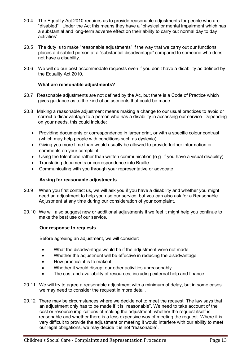- 20.4 The Equality Act 2010 requires us to provide reasonable adjustments for people who are "disabled". Under the Act this means they have a "physical or mental impairment which has a substantial and long-term adverse effect on their ability to carry out normal day to day activities".
- 20.5 The duty is to make "reasonable adjustments" if the way that we carry out our functions places a disabled person at a "substantial disadvantage" compared to someone who does not have a disability.
- 20.6 We will do our best accommodate requests even if you don't have a disability as defined by the Equality Act 2010.

#### What are reasonable adjustments?

- 20.7 Reasonable adjustments are not defined by the Ac, but there is a Code of Practice which gives guidance as to the kind of adjustments that could be made.
- 20.8 Making a reasonable adjustment means making a change to our usual practices to avoid or correct a disadvantage to a person who has a disability in accessing our service. Depending on your needs, this could include:
	- Providing documents or correspondence in larger print, or with a specific colour contrast (which may help people with conditions such as dyslexia)
	- Giving you more time than would usually be allowed to provide further information or comments on your complaint
	- Using the telephone rather than written communication (e.g. if you have a visual disability)
	- Translating documents or correspondence into Braille
	- Communicating with you through your representative or advocate

#### Asking for reasonable adjustments

- 20.9 When you first contact us, we will ask you if you have a disability and whether you might need an adjustment to help you use our service, but you can also ask for a Reasonable Adjustment at any time during our consideration of your complaint.
- 20.10 We will also suggest new or additional adjustments if we feel it might help you continue to make the best use of our service.

#### Our response to requests

Before agreeing an adjustment, we will consider:

- What the disadvantage would be if the adjustment were not made
- Whether the adjustment will be effective in reducing the disadvantage
- How practical it is to make it
- Whether it would disrupt our other activities unreasonably
- The cost and availability of resources, including external help and finance
- 20.11 We will try to agree a reasonable adjustment with a minimum of delay, but in some cases we may need to consider the request in more detail.
- 20.12 There may be circumstances where we decide not to meet the request. The law says that an adjustment only has to be made if it is "reasonable". We need to take account of the cost or resource implications of making the adjustment, whether the request itself is reasonable and whether there is a less expensive way of meeting the request. Where it is very difficult to provide the adjustment or meeting it would interfere with our ability to meet our legal obligations, we may decide it is not "reasonable".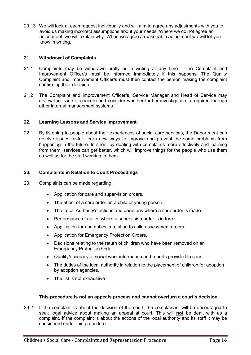20.13 We will look at each request individually and will aim to agree any adjustments with you to avoid us making incorrect assumptions about your needs. Where we do not agree an adjustment, we will explain why. When we agree a reasonable adjustment we will let you know in writing.

#### 21. Withdrawal of Complaints

- 21.1 Complaints may be withdrawn orally or in writing at any time. The Complaint and Improvement Officer/s must be informed immediately if this happens. The Quality Complaint and Improvement Officer/s must then contact the person making the complaint confirming their decision.
- 21.2 The Complaint and Improvement Officer/s, Service Manager and Head of Service may review the issue of concern and consider whether further investigation is required through other internal management systems.

#### 22. Learning Lessons and Service Improvement

22.1 By listening to people about their experiences of social care services, the Department can resolve issues faster, learn new ways to improve and prevent the same problems from happening in the future. In short, by dealing with complaints more effectively and learning from them, services can get better, which will improve things for the people who use them as well as for the staff working in them.

#### 23. Complaints in Relation to Court Proceedings

- 23.1 Complaints can be made regarding:
	- Application for care and supervision orders.
	- The effect of a care order on a child or young person.
	- The Local Authority's actions and decisions where a care order is made.
	- Performance of duties where a supervision order is in force.
	- Application for and duties in relation to child assessment orders.
	- Application for Emergency Protection Orders.
	- Decisions relating to the return of children who have been removed on an Emergency Protection Order.
	- Quality/accuracy of social work information and reports provided to court.
	- The duties of the local authority in relation to the placement of children for adoption by adoption agencies.
	- The list is not exhaustive

#### This procedure is not an appeals process and cannot overturn a court's decision.

23.2 If the complaint is about the decision of the court, the complainant will be encouraged to seek legal advice about making an appeal at court. This will not be dealt with as a complaint. If the complaint is about the actions of the local authority and its staff it may be considered under this procedure.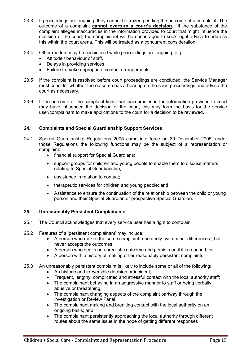- 23.3 If proceedings are ongoing, they cannot be frozen pending the outcome of a complaint. The outcome of a complaint cannot overturn a court's decision. If the substance of the complaint alleges inaccuracies in the information provided to court that might influence the decision of the court, the complainant will be encouraged to seek legal advice to address this within the court arena. This will be treated as a concurrent consideration.
- 23.4 Other matters may be considered while proceedings are ongoing, e.g.
	- Attitude / behaviour of staff.
	- Delays in providing services.
	- Failure to make appropriate contact arrangements.
- 23.5 If the complaint is resolved before court proceedings are concluded, the Service Manager must consider whether the outcome has a bearing on the court proceedings and advise the court as necessary.
- 23.6 If the outcome of the complaint finds that inaccuracies in the information provided to court may have influenced the decision of the court, this may form the basis for the service user/complainant to make applications to the court for a decision to be reviewed.

#### 24. Complaints and Special Guardianship Support Services

- 24.1 Special Guardianship Regulations 2005 came into force on 30 December 2005, under those Regulations the following functions may be the subject of a representation or complaint:
	- financial support for Special Guardians:
	- support groups for children and young people to enable them to discuss matters relating to Special Guardianship;
	- assistance in relation to contact;
	- therapeutic services for children and young people; and
	- Assistance to ensure the continuation of the relationship between the child or young person and their Special Guardian or prospective Special Guardian.

#### 25. Unreasonably Persistent Complainants

- 25.1 The Council acknowledges that every service user has a right to complain.
- 25.2 Features of a 'persistent complainant' may include:
	- A person who makes the same complaint repeatedly (with minor differences), but never accepts the outcomes;
	- A person who seeks an unrealistic outcome and persists until it is reached; or
	- A person with a history of making other reasonably persistent complaints
- 25.3 An unreasonably persistent complaint is likely to include some or all of the following:
	- An historic and irreversible decision or incident;
	- Frequent, lengthy, complicated and stressful contact with the local authority staff;
	- The complainant behaving in an aggressive manner to staff or being verbally abusive or threatening;
	- The complainant changing aspects of the complaint partway through the investigation or Review Panel
	- The complainant making and breaking contact with the local authority on an ongoing basis; and
	- The complainant persistently approaching the local authority through different routes about the same issue in the hope of getting different responses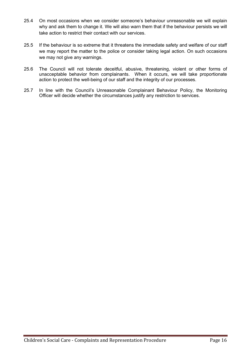- 25.4 On most occasions when we consider someone's behaviour unreasonable we will explain why and ask them to change it. We will also warn them that if the behaviour persists we will take action to restrict their contact with our services.
- 25.5 If the behaviour is so extreme that it threatens the immediate safety and welfare of our staff we may report the matter to the police or consider taking legal action. On such occasions we may not give any warnings.
- 25.6 The Council will not tolerate deceitful, abusive, threatening, violent or other forms of unacceptable behavior from complainants. When it occurs, we will take proportionate action to protect the well-being of our staff and the integrity of our processes.
- 25.7 In line with the Council's Unreasonable Complainant Behaviour Policy, the Monitoring Officer will decide whether the circumstances justify any restriction to services.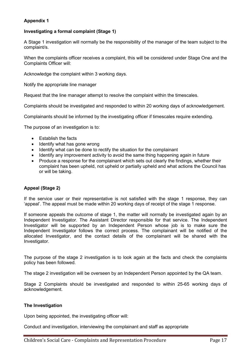#### Appendix 1

#### Investigating a formal complaint (Stage 1)

A Stage 1 investigation will normally be the responsibility of the manager of the team subject to the complaint/s.

When the complaints officer receives a complaint, this will be considered under Stage One and the Complaints Officer will:

Acknowledge the complaint within 3 working days.

Notify the appropriate line manager

Request that the line manager attempt to resolve the complaint within the timescales.

Complaints should be investigated and responded to within 20 working days of acknowledgement.

Complainants should be informed by the investigating officer if timescales require extending.

The purpose of an investigation is to:

- Establish the facts
- Identify what has gone wrong
- Identify what can be done to rectify the situation for the complainant
- Identify any improvement activity to avoid the same thing happening again in future
- Produce a response for the complainant which sets out clearly the findings, whether their complaint has been upheld, not upheld or partially upheld and what actions the Council has or will be taking.

#### Appeal (Stage 2)

If the service user or their representative is not satisfied with the stage 1 response, they can 'appeal'. The appeal must be made within 20 working days of receipt of the stage 1 response.

If someone appeals the outcome of stage 1, the matter will normally be investigated again by an Independent Investigator. The Assistant Director responsible for that service. The Independent Investigator will be supported by an Independent Person whose job is to make sure the Independent Investigator follows the correct process. The complainant will be notified of the allocated Investigator, and the contact details of the complainant will be shared with the Investigator.

The purpose of the stage 2 investigation is to look again at the facts and check the complaints policy has been followed.

The stage 2 investigation will be overseen by an Independent Person appointed by the QA team.

Stage 2 Complaints should be investigated and responded to within 25-65 working days of acknowledgement.

#### The Investigation

Upon being appointed, the investigating officer will:

Conduct and investigation, interviewing the complainant and staff as appropriate